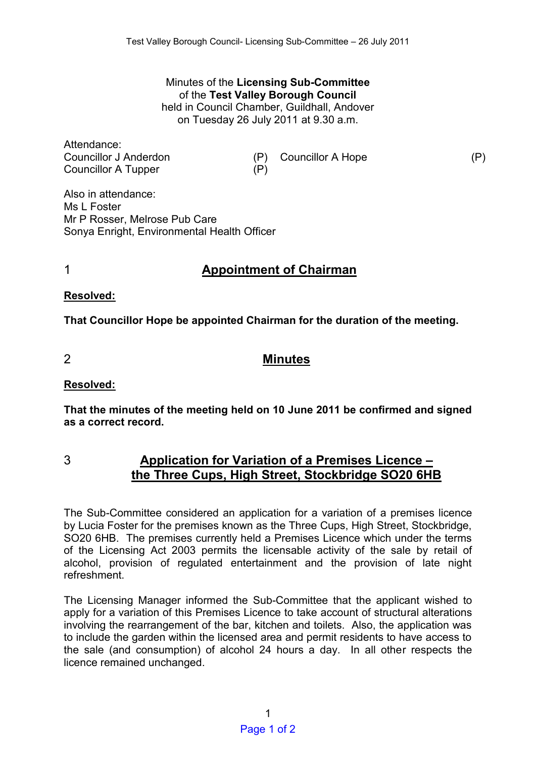#### Minutes of the **Licensing Sub-Committee**  of the **Test Valley Borough Council** held in Council Chamber, Guildhall, Andover on Tuesday 26 July 2011 at 9.30 a.m.

Attendance:

Councillor J Anderdon (P) Councillor A Hope (P) Councillor A Tupper (P)

Also in attendance: Ms L Foster Mr P Rosser, Melrose Pub Care Sonya Enright, Environmental Health Officer

# 1 **Appointment of Chairman**

**Resolved:** 

**That Councillor Hope be appointed Chairman for the duration of the meeting.** 

## 2 **Minutes**

## **Resolved:**

**That the minutes of the meeting held on 10 June 2011 be confirmed and signed as a correct record.** 

## 3 **Application for Variation of a Premises Licence – the Three Cups, High Street, Stockbridge SO20 6HB**

The Sub-Committee considered an application for a variation of a premises licence by Lucia Foster for the premises known as the Three Cups, High Street, Stockbridge, SO20 6HB. The premises currently held a Premises Licence which under the terms of the Licensing Act 2003 permits the licensable activity of the sale by retail of alcohol, provision of regulated entertainment and the provision of late night refreshment.

The Licensing Manager informed the Sub-Committee that the applicant wished to apply for a variation of this Premises Licence to take account of structural alterations involving the rearrangement of the bar, kitchen and toilets. Also, the application was to include the garden within the licensed area and permit residents to have access to the sale (and consumption) of alcohol 24 hours a day. In all other respects the licence remained unchanged.